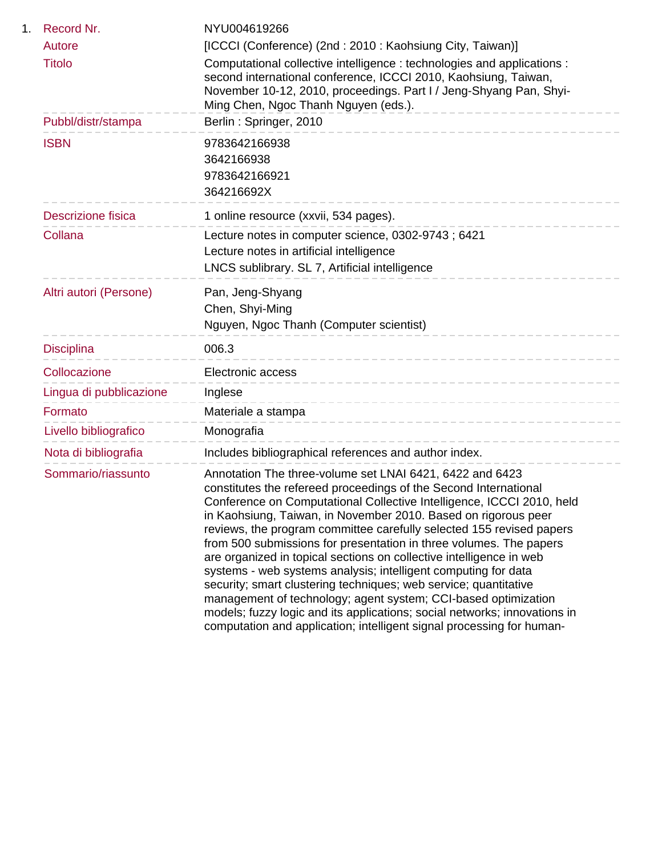| 1. | Record Nr.                | NYU004619266                                                                                                                                                                                                                                                                                                                                                                                                                                                                                                                                                                                                                                                                                                                                                                                                                                               |
|----|---------------------------|------------------------------------------------------------------------------------------------------------------------------------------------------------------------------------------------------------------------------------------------------------------------------------------------------------------------------------------------------------------------------------------------------------------------------------------------------------------------------------------------------------------------------------------------------------------------------------------------------------------------------------------------------------------------------------------------------------------------------------------------------------------------------------------------------------------------------------------------------------|
|    | Autore                    | [ICCCI (Conference) (2nd : 2010 : Kaohsiung City, Taiwan)]                                                                                                                                                                                                                                                                                                                                                                                                                                                                                                                                                                                                                                                                                                                                                                                                 |
|    | <b>Titolo</b>             | Computational collective intelligence : technologies and applications :<br>second international conference, ICCCI 2010, Kaohsiung, Taiwan,<br>November 10-12, 2010, proceedings. Part I / Jeng-Shyang Pan, Shyi-<br>Ming Chen, Ngoc Thanh Nguyen (eds.).                                                                                                                                                                                                                                                                                                                                                                                                                                                                                                                                                                                                   |
|    | Pubbl/distr/stampa        | Berlin: Springer, 2010                                                                                                                                                                                                                                                                                                                                                                                                                                                                                                                                                                                                                                                                                                                                                                                                                                     |
|    | <b>ISBN</b>               | 9783642166938<br>3642166938<br>9783642166921<br>364216692X                                                                                                                                                                                                                                                                                                                                                                                                                                                                                                                                                                                                                                                                                                                                                                                                 |
|    | <b>Descrizione fisica</b> | 1 online resource (xxvii, 534 pages).                                                                                                                                                                                                                                                                                                                                                                                                                                                                                                                                                                                                                                                                                                                                                                                                                      |
|    | Collana                   | Lecture notes in computer science, 0302-9743; 6421<br>Lecture notes in artificial intelligence<br>LNCS sublibrary. SL 7, Artificial intelligence                                                                                                                                                                                                                                                                                                                                                                                                                                                                                                                                                                                                                                                                                                           |
|    | Altri autori (Persone)    | Pan, Jeng-Shyang<br>Chen, Shyi-Ming<br>Nguyen, Ngoc Thanh (Computer scientist)                                                                                                                                                                                                                                                                                                                                                                                                                                                                                                                                                                                                                                                                                                                                                                             |
|    | <b>Disciplina</b>         | 006.3                                                                                                                                                                                                                                                                                                                                                                                                                                                                                                                                                                                                                                                                                                                                                                                                                                                      |
|    | Collocazione              | Electronic access                                                                                                                                                                                                                                                                                                                                                                                                                                                                                                                                                                                                                                                                                                                                                                                                                                          |
|    | Lingua di pubblicazione   | Inglese<br>______________________________                                                                                                                                                                                                                                                                                                                                                                                                                                                                                                                                                                                                                                                                                                                                                                                                                  |
|    | Formato                   | Materiale a stampa                                                                                                                                                                                                                                                                                                                                                                                                                                                                                                                                                                                                                                                                                                                                                                                                                                         |
|    | Livello bibliografico     | Monografia                                                                                                                                                                                                                                                                                                                                                                                                                                                                                                                                                                                                                                                                                                                                                                                                                                                 |
|    | Nota di bibliografia      | Includes bibliographical references and author index.                                                                                                                                                                                                                                                                                                                                                                                                                                                                                                                                                                                                                                                                                                                                                                                                      |
|    | Sommario/riassunto        | Annotation The three-volume set LNAI 6421, 6422 and 6423<br>constitutes the refereed proceedings of the Second International<br>Conference on Computational Collective Intelligence, ICCCI 2010, held<br>in Kaohsiung, Taiwan, in November 2010. Based on rigorous peer<br>reviews, the program committee carefully selected 155 revised papers<br>from 500 submissions for presentation in three volumes. The papers<br>are organized in topical sections on collective intelligence in web<br>systems - web systems analysis; intelligent computing for data<br>security; smart clustering techniques; web service; quantitative<br>management of technology; agent system; CCI-based optimization<br>models; fuzzy logic and its applications; social networks; innovations in<br>computation and application; intelligent signal processing for human- |